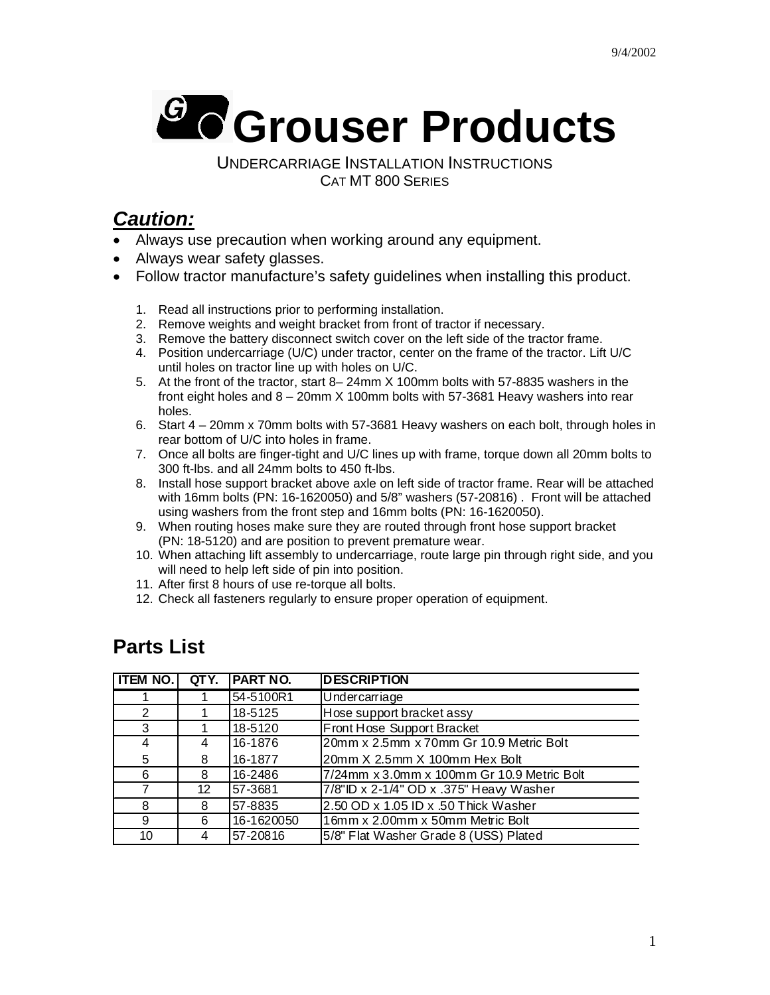

UNDERCARRIAGE INSTALLATION INSTRUCTIONS CAT MT 800 SERIES

## *Caution:*

- Always use precaution when working around any equipment.
- Always wear safety glasses.
- Follow tractor manufacture's safety guidelines when installing this product.
	- 1. Read all instructions prior to performing installation.
	- 2. Remove weights and weight bracket from front of tractor if necessary.
	- 3. Remove the battery disconnect switch cover on the left side of the tractor frame.
	- 4. Position undercarriage (U/C) under tractor, center on the frame of the tractor. Lift U/C until holes on tractor line up with holes on U/C.
	- 5. At the front of the tractor, start 8– 24mm X 100mm bolts with 57-8835 washers in the front eight holes and 8 – 20mm X 100mm bolts with 57-3681 Heavy washers into rear holes.
	- 6. Start 4 20mm x 70mm bolts with 57-3681 Heavy washers on each bolt, through holes in rear bottom of U/C into holes in frame.
	- 7. Once all bolts are finger-tight and U/C lines up with frame, torque down all 20mm bolts to 300 ft-lbs. and all 24mm bolts to 450 ft-lbs.
	- 8. Install hose support bracket above axle on left side of tractor frame. Rear will be attached with 16mm bolts (PN: 16-1620050) and 5/8" washers (57-20816) . Front will be attached using washers from the front step and 16mm bolts (PN: 16-1620050).
	- 9. When routing hoses make sure they are routed through front hose support bracket (PN: 18-5120) and are position to prevent premature wear.
	- 10. When attaching lift assembly to undercarriage, route large pin through right side, and you will need to help left side of pin into position.
	- 11. After first 8 hours of use re-torque all bolts.
	- 12. Check all fasteners regularly to ensure proper operation of equipment.

## **Parts List**

| <b>ITEM NO.</b> | QTY. | <b>PART NO.</b> | <b>DESCRIPTION</b>                         |  |
|-----------------|------|-----------------|--------------------------------------------|--|
|                 |      | 54-5100R1       | Undercarriage                              |  |
| 2               |      | 18-5125         | Hose support bracket assy                  |  |
| 3               |      | 18-5120         | Front Hose Support Bracket                 |  |
| 4               | 4    | 16-1876         | 20mm x 2.5mm x 70mm Gr 10.9 Metric Bolt    |  |
| 5               | 8    | 16-1877         | 20mm X 2.5mm X 100mm Hex Bolt              |  |
| 6               | 8    | 16-2486         | 7/24mm x 3.0mm x 100mm Gr 10.9 Metric Bolt |  |
| 7               | 12   | 57-3681         | 7/8"ID x 2-1/4" OD x .375" Heavy Washer    |  |
| 8               | 8    | 57-8835         | 2.50 OD x 1.05 ID x .50 Thick Washer       |  |
| 9               | 6    | 16-1620050      | 16mm x 2.00mm x 50mm Metric Bolt           |  |
| 10              | 4    | 57-20816        | 5/8" Flat Washer Grade 8 (USS) Plated      |  |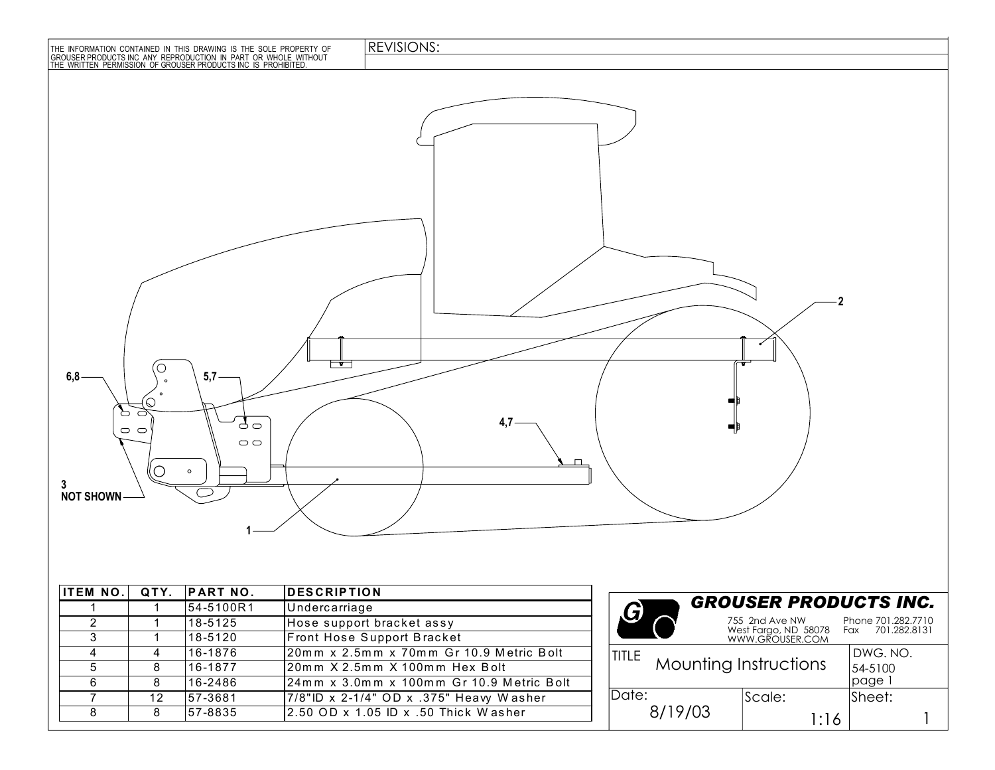